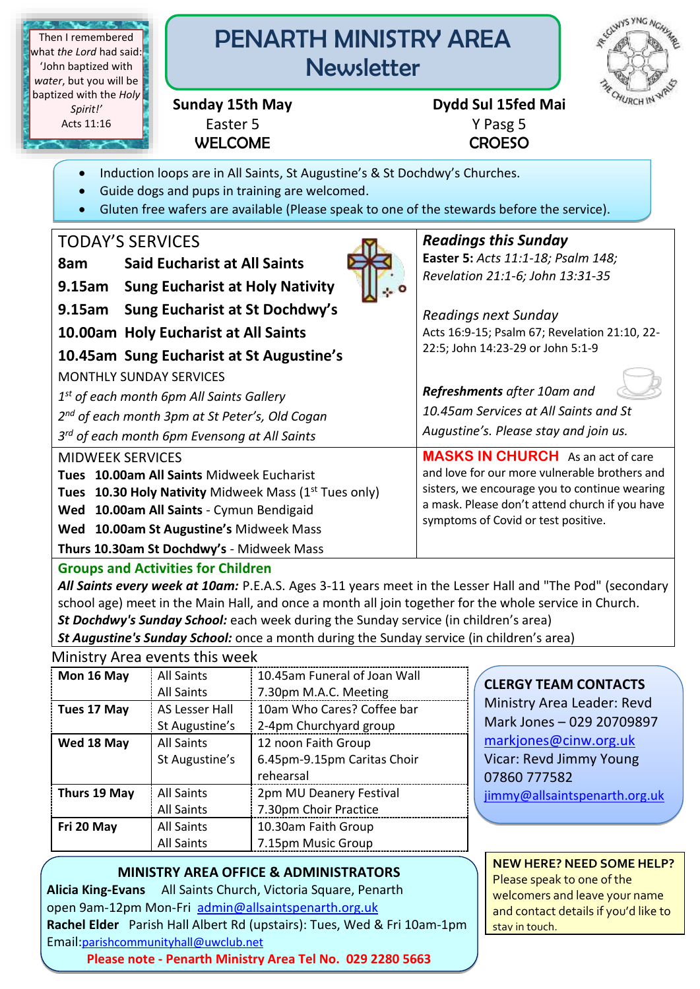**TELEVISION** Then I remembered what *the Lord* had said: 'John baptized with *water*, but you will be baptized with the *Holy Spirit!'* Acts 11:16

# PENARTH MINISTRY AREA **Newsletter**



Easter 5 Y Pasg 5 WELCOME CROESO

# **Sunday 15th May Dydd Sul 15fed Mai**

- Induction loops are in All Saints, St Augustine's & St Dochdwy's Churches.
- Guide dogs and pups in training are welcomed.
- Gluten free wafers are available (Please speak to one of the stewards before the service).

# TODAY'S SERVICES

| <b>Said Eucharist at All Saints</b> |
|-------------------------------------|
|                                     |

**9.15am Sung Eucharist at Holy Nativity** 

- **9.15am Sung Eucharist at St Dochdwy's**
- **10.00am Holy Eucharist at All Saints**
- **10.45am Sung Eucharist at St Augustine's**

MONTHLY SUNDAY SERVICES

*1 st of each month 6pm All Saints Gallery*

*2 nd of each month 3pm at St Peter's, Old Cogan*

*3 rd of each month 6pm Evensong at All Saints*

## MIDWEEK SERVICES

**Tues 10.00am All Saints** Midweek Eucharist

**Tues 10.30 Holy Nativity** Midweek Mass (1<sup>st</sup> Tues only)

**Wed 10.00am All Saints** - Cymun Bendigaid

**Wed 10.00am St Augustine's** Midweek Mass

**Thurs 10.30am St Dochdwy's** - Midweek Mass

## **Groups and Activities for Children**

*All Saints every week at 10am:* P.E.A.S. Ages 3-11 years meet in the Lesser Hall and "The Pod" (secondary school age) meet in the Main Hall, and once a month all join together for the whole service in Church. *St Dochdwy's Sunday School:* each week during the Sunday service (in children's area)

*St Augustine's Sunday School:* once a month during the Sunday service (in children's area) Ministry Area events this week

| <u>IVIIIIISLI VALEA EVEIILS LIIIS WEEN</u> |                   |                              |  |
|--------------------------------------------|-------------------|------------------------------|--|
| Mon 16 May                                 | <b>All Saints</b> | 10.45am Funeral of Joan Wall |  |
|                                            | <b>All Saints</b> | 7.30pm M.A.C. Meeting        |  |
| Tues 17 May                                | AS Lesser Hall    | 10am Who Cares? Coffee bar   |  |
|                                            | St Augustine's    | 2-4pm Churchyard group       |  |
| Wed 18 May                                 | <b>All Saints</b> | 12 noon Faith Group          |  |
|                                            | St Augustine's    | 6.45pm-9.15pm Caritas Choir  |  |
|                                            |                   | rehearsal                    |  |
| Thurs 19 May                               | <b>All Saints</b> | 2pm MU Deanery Festival      |  |
|                                            | <b>All Saints</b> | 7.30pm Choir Practice        |  |
| Fri 20 May                                 | <b>All Saints</b> | 10.30am Faith Group          |  |
|                                            | <b>All Saints</b> | 7.15pm Music Group           |  |

**CLERGY TEAM CONTACTS**

Ministry Area Leader: Revd Mark Jones – 029 20709897 [markjones@cinw.org.uk](mailto:markjones@cinw.org.uk) Vicar: Revd Jimmy Young 07860 777582 [jimmy@allsaintspenarth.org.uk](mailto:jimmy@allsaintspenarth.org.uk)

## **MINISTRY AREA OFFICE & ADMINISTRATORS**

**Alicia King-Evans** All Saints Church, Victoria Square, Penarth open 9am-12pm Mon-Fri [admin@allsaintspenarth.org.uk](mailto:admin@allsaintspenarth.org.uk)  **Rachel Elder** Parish Hall Albert Rd (upstairs): Tues, Wed & Fri 10am-1pm Email:[parishcommunityhall@uwclub.net](mailto:parishcommunityhall@uwclub.net) 

**Please note - Penarth Ministry Area Tel No. 029 2280 5663**

**NEW HERE? NEED SOME HELP?** Please speak to one of the welcomers and leave your name and contact details if you'd like to stay in touch.



## *Readings this Sunday*

**Easter 5:** *Acts 11:1-18; Psalm 148; Revelation 21:1-6; John 13:31-35*

*Readings next Sunday* Acts 16:9-15; Psalm 67; Revelation 21:10, 22- 22:5; John 14:23-29 or John 5:1-9

*Refreshments after 10am and* 

*10.45am Services at All Saints and St Augustine's. Please stay and join us.*

**MASKS IN CHURCH** As an act of care and love for our more vulnerable brothers and sisters, we encourage you to continue wearing a mask. Please don't attend church if you have symptoms of Covid or test positive.